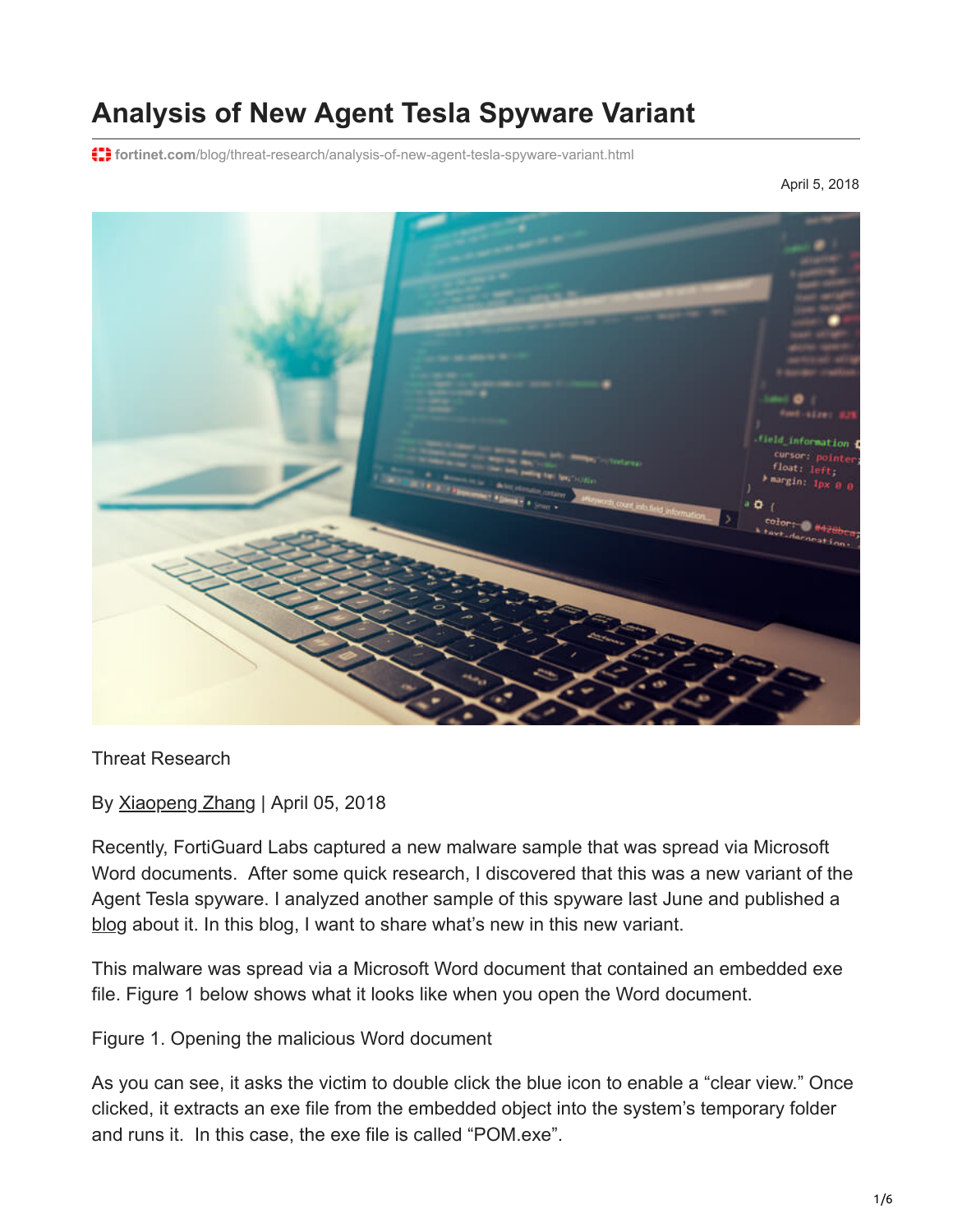# **Analysis of New Agent Tesla Spyware Variant**

**f: fortinet.com**[/blog/threat-research/analysis-of-new-agent-tesla-spyware-variant.html](https://www.fortinet.com/blog/threat-research/analysis-of-new-agent-tesla-spyware-variant.html)

April 5, 2018



Threat Research

By [Xiaopeng Zhang](https://www.fortinet.com/blog/search?author=Xiaopeng+Zhang) | April 05, 2018

Recently, FortiGuard Labs captured a new malware sample that was spread via Microsoft Word documents. After some quick research, I discovered that this was a new variant of the Agent Tesla spyware. I analyzed another sample of this spyware last June and published a [blog](https://www.fortinet.com/blog/threat-research/in-depth-analysis-of-net-malware-javaupdtr.html) about it. In this blog, I want to share what's new in this new variant.

This malware was spread via a Microsoft Word document that contained an embedded exe file. Figure 1 below shows what it looks like when you open the Word document.

Figure 1. Opening the malicious Word document

As you can see, it asks the victim to double click the blue icon to enable a "clear view." Once clicked, it extracts an exe file from the embedded object into the system's temporary folder and runs it. In this case, the exe file is called "POM.exe".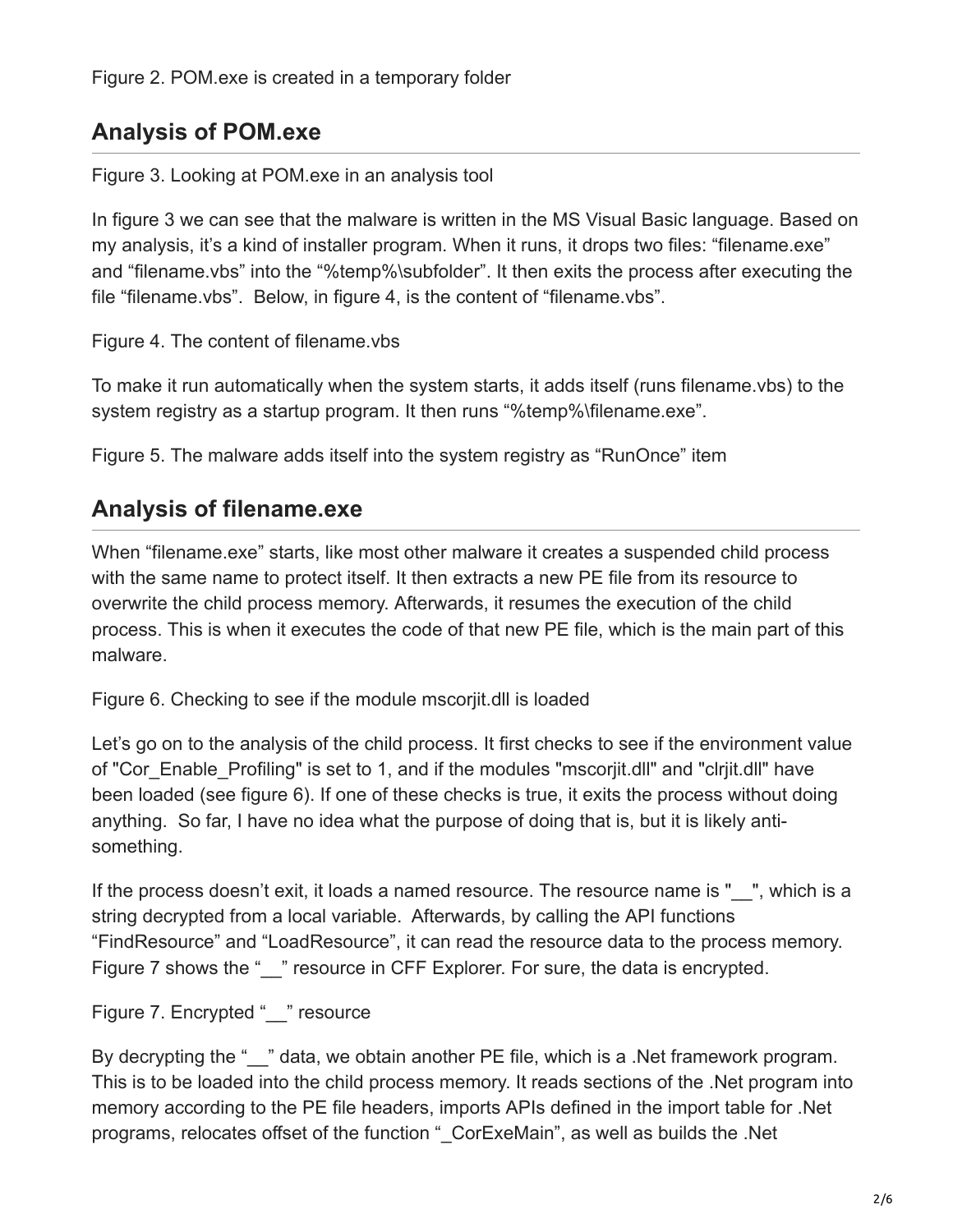## **Analysis of POM.exe**

Figure 3. Looking at POM.exe in an analysis tool

In figure 3 we can see that the malware is written in the MS Visual Basic language. Based on my analysis, it's a kind of installer program. When it runs, it drops two files: "filename.exe" and "filename.vbs" into the "%temp%\subfolder". It then exits the process after executing the file "filename.vbs". Below, in figure 4, is the content of "filename.vbs".

Figure 4. The content of filename.vbs

To make it run automatically when the system starts, it adds itself (runs filename.vbs) to the system registry as a startup program. It then runs "%temp%\filename.exe".

Figure 5. The malware adds itself into the system registry as "RunOnce" item

# **Analysis of filename.exe**

When "filename.exe" starts, like most other malware it creates a suspended child process with the same name to protect itself. It then extracts a new PE file from its resource to overwrite the child process memory. Afterwards, it resumes the execution of the child process. This is when it executes the code of that new PE file, which is the main part of this malware.

Figure 6. Checking to see if the module mscorjit.dll is loaded

Let's go on to the analysis of the child process. It first checks to see if the environment value of "Cor\_Enable\_Profiling" is set to 1, and if the modules "mscorjit.dll" and "clrjit.dll" have been loaded (see figure 6). If one of these checks is true, it exits the process without doing anything. So far, I have no idea what the purpose of doing that is, but it is likely antisomething.

If the process doesn't exit, it loads a named resource. The resource name is " \_\_", which is a string decrypted from a local variable. Afterwards, by calling the API functions "FindResource" and "LoadResource", it can read the resource data to the process memory. Figure 7 shows the " " resource in CFF Explorer. For sure, the data is encrypted.

Figure 7. Encrypted " " resource

By decrypting the " " data, we obtain another PE file, which is a .Net framework program. This is to be loaded into the child process memory. It reads sections of the .Net program into memory according to the PE file headers, imports APIs defined in the import table for .Net programs, relocates offset of the function " CorExeMain", as well as builds the .Net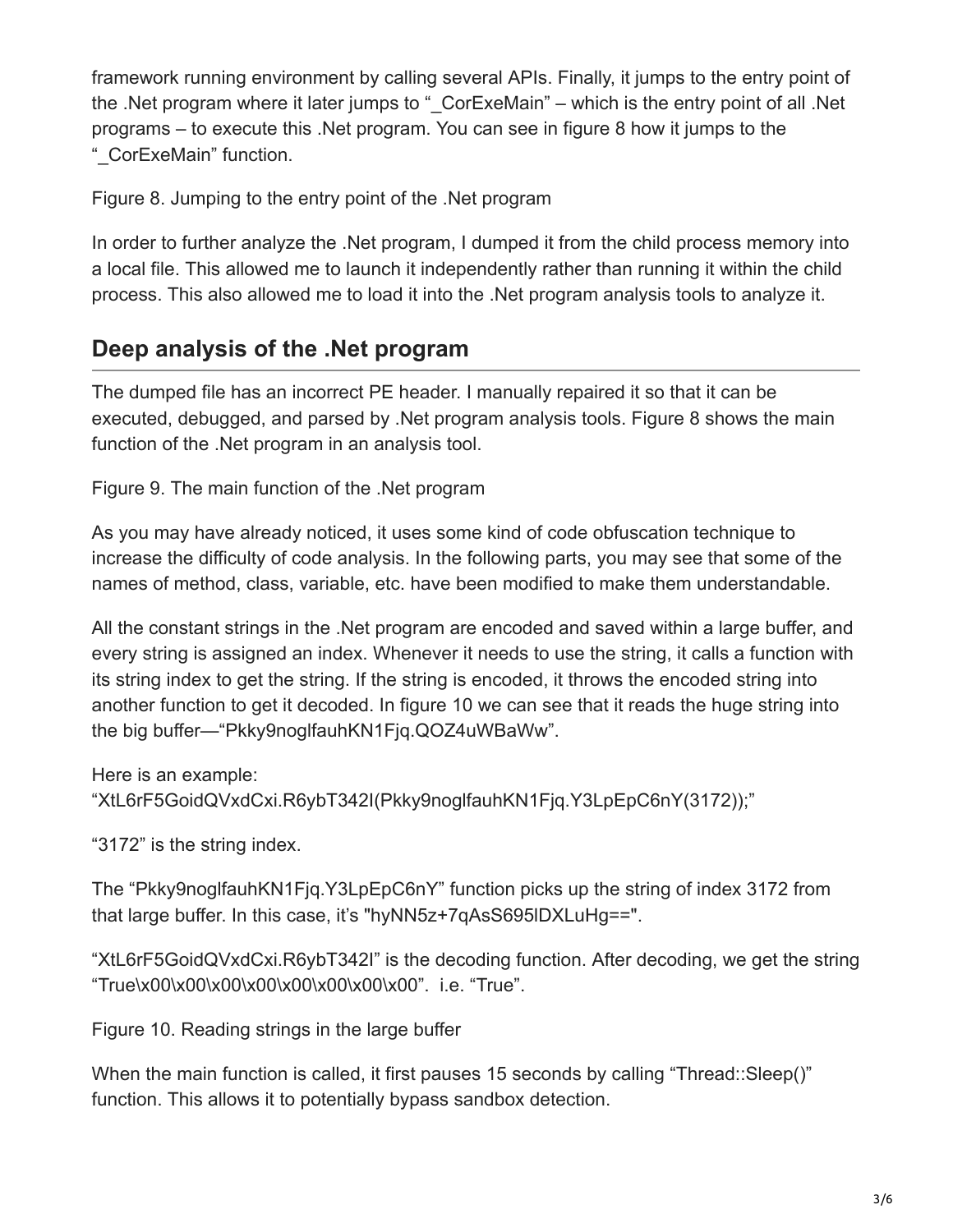framework running environment by calling several APIs. Finally, it jumps to the entry point of the .Net program where it later jumps to " CorExeMain" – which is the entry point of all .Net programs – to execute this .Net program. You can see in figure 8 how it jumps to the "\_CorExeMain" function.

Figure 8. Jumping to the entry point of the .Net program

In order to further analyze the .Net program, I dumped it from the child process memory into a local file. This allowed me to launch it independently rather than running it within the child process. This also allowed me to load it into the .Net program analysis tools to analyze it.

### **Deep analysis of the .Net program**

The dumped file has an incorrect PE header. I manually repaired it so that it can be executed, debugged, and parsed by .Net program analysis tools. Figure 8 shows the main function of the .Net program in an analysis tool.

Figure 9. The main function of the .Net program

As you may have already noticed, it uses some kind of code obfuscation technique to increase the difficulty of code analysis. In the following parts, you may see that some of the names of method, class, variable, etc. have been modified to make them understandable.

All the constant strings in the .Net program are encoded and saved within a large buffer, and every string is assigned an index. Whenever it needs to use the string, it calls a function with its string index to get the string. If the string is encoded, it throws the encoded string into another function to get it decoded. In figure 10 we can see that it reads the huge string into the big buffer—"Pkky9noglfauhKN1Fjq.QOZ4uWBaWw".

Here is an example:

"XtL6rF5GoidQVxdCxi.R6ybT342I(Pkky9noglfauhKN1Fjq.Y3LpEpC6nY(3172));"

"3172" is the string index.

The "Pkky9noglfauhKN1Fjq.Y3LpEpC6nY" function picks up the string of index 3172 from that large buffer. In this case, it's "hyNN5z+7qAsS695lDXLuHg==".

"XtL6rF5GoidQVxdCxi.R6ybT342I" is the decoding function. After decoding, we get the string "True\x00\x00\x00\x00\x00\x00\x00\x00". i.e. "True".

Figure 10. Reading strings in the large buffer

When the main function is called, it first pauses 15 seconds by calling "Thread::Sleep()" function. This allows it to potentially bypass sandbox detection.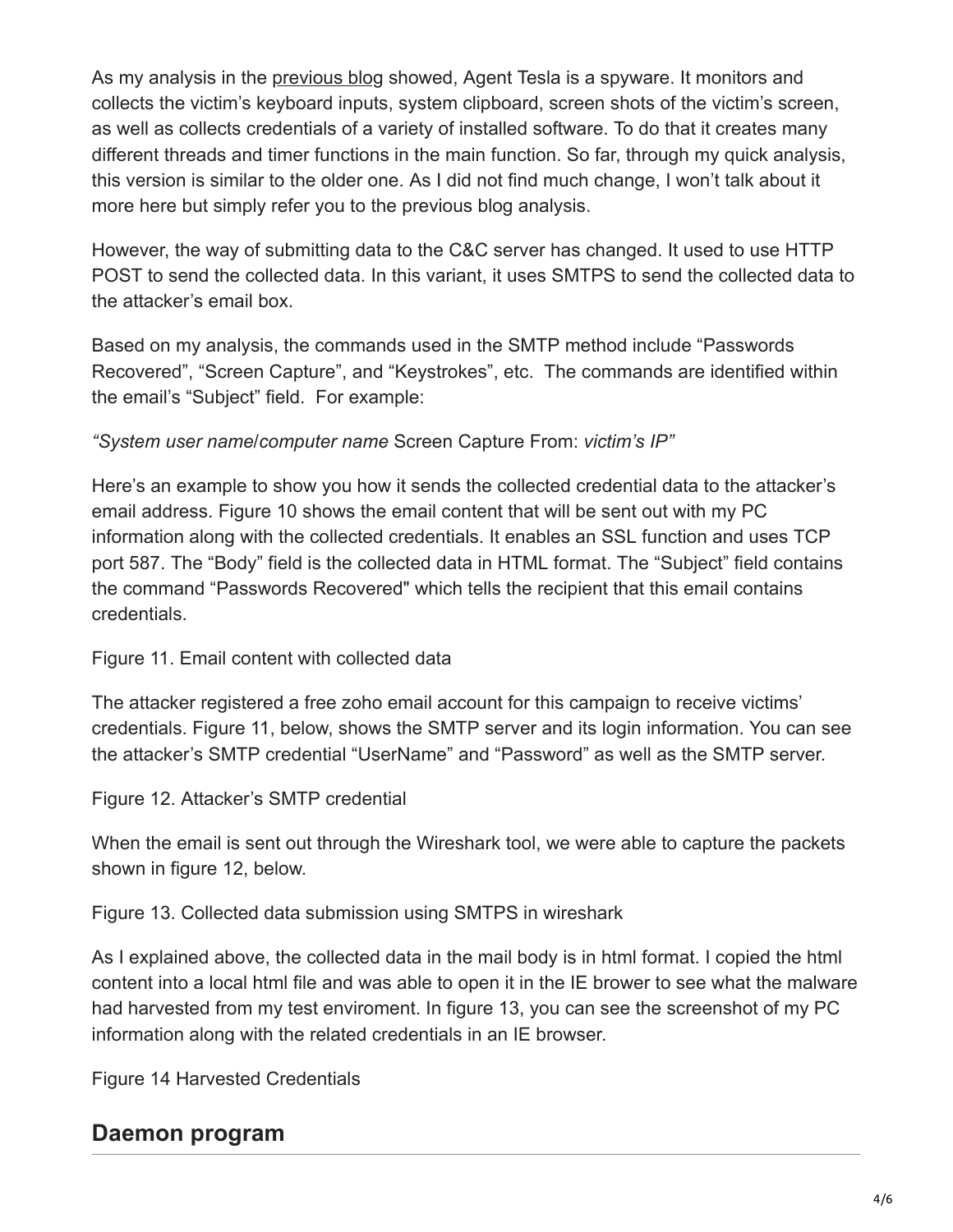As my analysis in the [previous blog](https://www.fortinet.com/blog/threat-research/in-depth-analysis-of-net-malware-javaupdtr.html) showed, Agent Tesla is a spyware. It monitors and collects the victim's keyboard inputs, system clipboard, screen shots of the victim's screen, as well as collects credentials of a variety of installed software. To do that it creates many different threads and timer functions in the main function. So far, through my quick analysis, this version is similar to the older one. As I did not find much change, I won't talk about it more here but simply refer you to the previous blog analysis.

However, the way of submitting data to the C&C server has changed. It used to use HTTP POST to send the collected data. In this variant, it uses SMTPS to send the collected data to the attacker's email box.

Based on my analysis, the commands used in the SMTP method include "Passwords Recovered", "Screen Capture", and "Keystrokes", etc. The commands are identified within the email's "Subject" field. For example:

#### *"System user name*/*computer name* Screen Capture From: *victim's IP"*

Here's an example to show you how it sends the collected credential data to the attacker's email address. Figure 10 shows the email content that will be sent out with my PC information along with the collected credentials. It enables an SSL function and uses TCP port 587. The "Body" field is the collected data in HTML format. The "Subject" field contains the command "Passwords Recovered" which tells the recipient that this email contains credentials.

#### Figure 11. Email content with collected data

The attacker registered a free zoho email account for this campaign to receive victims' credentials. Figure 11, below, shows the SMTP server and its login information. You can see the attacker's SMTP credential "UserName" and "Password" as well as the SMTP server.

Figure 12. Attacker's SMTP credential

When the email is sent out through the Wireshark tool, we were able to capture the packets shown in figure 12, below.

Figure 13. Collected data submission using SMTPS in wireshark

As I explained above, the collected data in the mail body is in html format. I copied the html content into a local html file and was able to open it in the IE brower to see what the malware had harvested from my test enviroment. In figure 13, you can see the screenshot of my PC information along with the related credentials in an IE browser.

Figure 14 Harvested Credentials

# **Daemon program**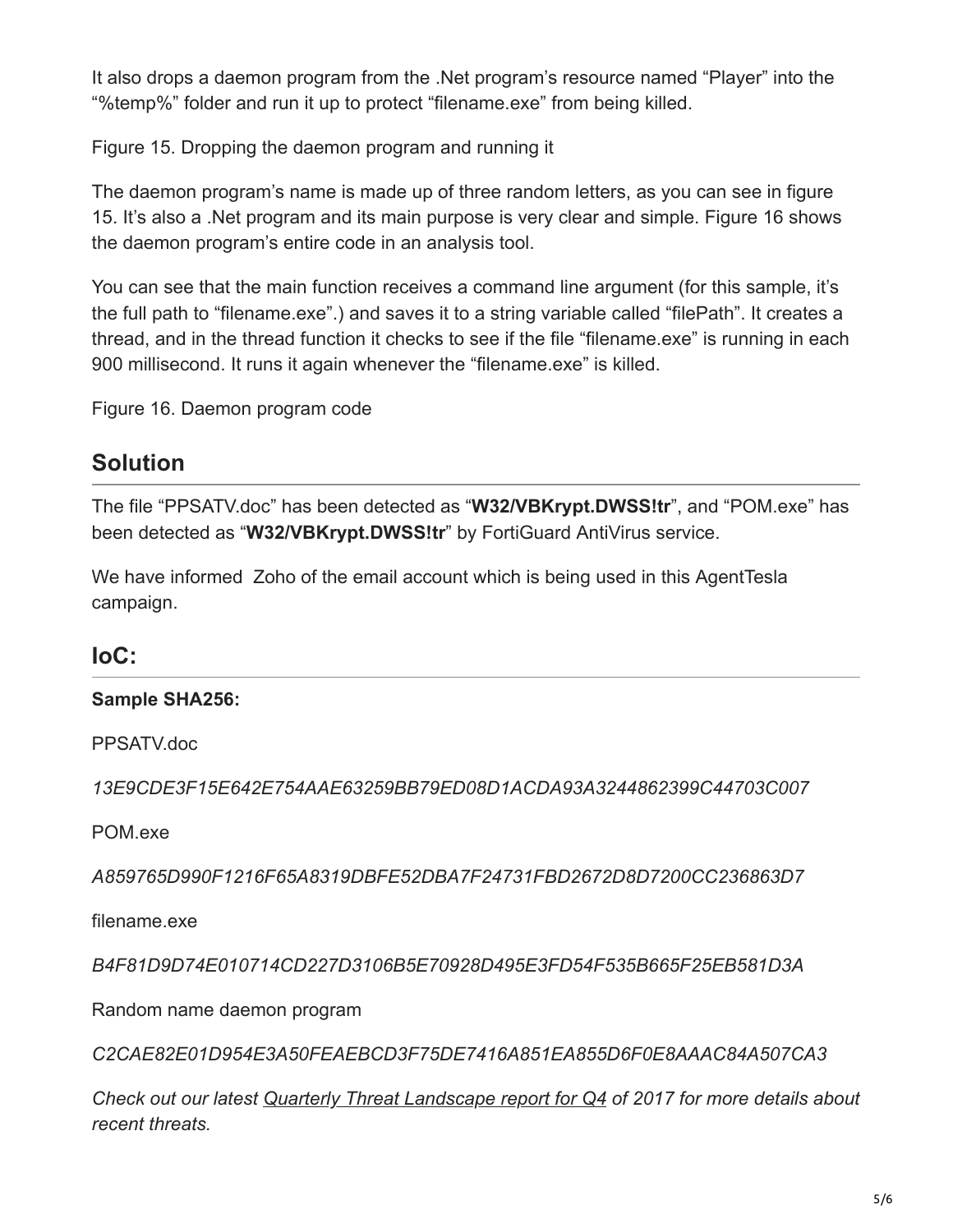It also drops a daemon program from the .Net program's resource named "Player" into the "%temp%" folder and run it up to protect "filename.exe" from being killed.

Figure 15. Dropping the daemon program and running it

The daemon program's name is made up of three random letters, as you can see in figure 15. It's also a .Net program and its main purpose is very clear and simple. Figure 16 shows the daemon program's entire code in an analysis tool.

You can see that the main function receives a command line argument (for this sample, it's the full path to "filename.exe".) and saves it to a string variable called "filePath". It creates a thread, and in the thread function it checks to see if the file "filename.exe" is running in each 900 millisecond. It runs it again whenever the "filename.exe" is killed.

Figure 16. Daemon program code

# **Solution**

The file "PPSATV.doc" has been detected as "**W32/VBKrypt.DWSS!tr**", and "POM.exe" has been detected as "**W32/VBKrypt.DWSS!tr**" by FortiGuard AntiVirus service.

We have informed Zoho of the email account which is being used in this AgentTesla campaign.

### **IoC:**

#### **Sample SHA256:**

PPSATV.doc

*13E9CDE3F15E642E754AAE63259BB79ED08D1ACDA93A3244862399C44703C007*

POM.exe

*A859765D990F1216F65A8319DBFE52DBA7F24731FBD2672D8D7200CC236863D7*

filename.exe

*B4F81D9D74E010714CD227D3106B5E70928D495E3FD54F535B665F25EB581D3A*

Random name daemon program

*C2CAE82E01D954E3A50FEAEBCD3F75DE7416A851EA855D6F0E8AAAC84A507CA3*

*Check out our latest [Quarterly Threat Landscape report for Q4](http://go.fortinet.com/LP=4272?utm_source=social&utm_medium=blog&utm_campaign=GEN-WP-Q4-2017-Fortinet-Threat-Landscape-) of 2017 for more details about recent threats.*